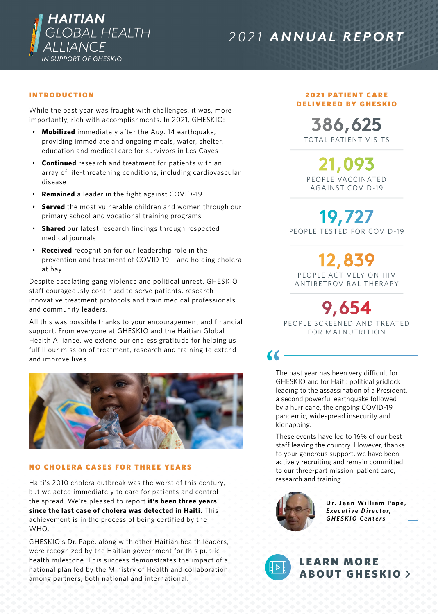

# *2021 ANNUAL REPORT*

# INTRODUCTION

While the past year was fraught with challenges, it was, more importantly, rich with accomplishments. In 2021, GHESKIO:

- **Mobilized** immediately after the Aug. 14 earthquake, providing immediate and ongoing meals, water, shelter, education and medical care for survivors in Les Cayes
- **Continued** research and treatment for patients with an array of life-threatening conditions, including cardiovascular disease
- **Remained** a leader in the fight against COVID-19
- **Served** the most vulnerable children and women through our primary school and vocational training programs
- **Shared** our latest research findings through respected medical journals
- **Received** recognition for our leadership role in the prevention and treatment of COVID-19 – and holding cholera at bay

Despite escalating gang violence and political unrest, GHESKIO staff courageously continued to serve patients, research innovative treatment protocols and train medical professionals and community leaders.

All this was possible thanks to your encouragement and financial support. From everyone at GHESKIO and the Haitian Global Health Alliance, we extend our endless gratitude for helping us fulfill our mission of treatment, research and training to extend and improve lives.



#### NO CHOLERA CASES FOR THREE YEARS

Haiti's 2010 cholera outbreak was the worst of this century, but we acted immediately to care for patients and control the spread. We're pleased to report **it's been three years since the last case of cholera was detected in Haiti.** This achievement is in the process of being certified by the WHO.

GHESKIO's Dr. Pape, along with other Haitian health leaders, were recognized by the Haitian government for this public health milestone. This success demonstrates the impact of a national plan led by the Ministry of Health and collaboration among partners, both national and international.

#### **2021 PATIENT CARE** DELIVERED BY GHESKIO

TOTAL PATIENT VISITS **386,625**

PEOPLE VACCINATED AGAINST COVID-19 **21,093**

PEOPLE TESTED FOR COVID-19 **19,727**

PEOPLE ACTIVELY ON HIV ANTIRETROVIRAL THERAPY **12,839**

**9,654**

PEOPLE SCREENED AND TREATED FOR MALNUTRITION

The past year has been very difficult for GHESKIO and for Haiti: political gridlock leading to the assassination of a President, a second powerful earthquake followed by a hurricane, the ongoing COVID-19 pandemic, widespread insecurity and kidnapping.

These events have led to 16% of our best staff leaving the country. However, thanks to your generous support, we have been actively recruiting and remain committed to our three-part mission: patient care, research and training.



Dr. Jean William Pape, *E x e c u t i v e D i r e c t o r, GHESKIO Centers*



 $\alpha$ 

**LEARN MORE** [ABOUT GHESKIO](https://www.youtube.com/watch?v=ZsWsX0JiSWI)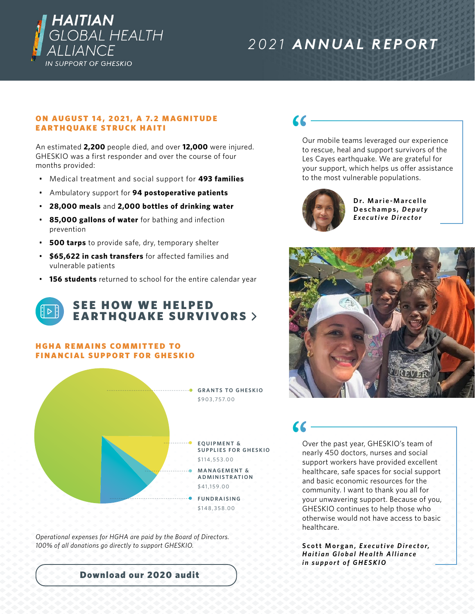

# *2021 ANNUAL REPORT*

#### ON AUGUST 14, 2021, A 7.2 MAGNITUDE EARTHQUAKE STRUCK HAITI

An estimated **2,200** people died, and over **12,000** were injured. GHESKIO was a first responder and over the course of four months provided:

- Medical treatment and social support for **493 families**
- Ambulatory support for **94 postoperative patients**
- **28,000 meals** and **2,000 bottles of drinking water**
- **85,000 gallons of water** for bathing and infection prevention
- **500 tarps** to provide safe, dry, temporary shelter
- **\$65,622 in cash transfers** for affected families and vulnerable patients
- **156 students** returned to school for the entire calendar year

# **SEE HOW WE HELPED** [EARTHQUAKE SURVIVORS](https://www.youtube.com/watch?v=AulXaRkLDzM)

#### **HGHA REMAINS COMMITTED TO** FINANCIAL SUPPORT FOR GHESKIO



*Operational expenses for HGHA are paid by the Board of Directors. 100% of all donations go directly to support GHESKIO.*

 $\alpha$ 

Our mobile teams leveraged our experience to rescue, heal and support survivors of the Les Cayes earthquake. We are grateful for your support, which helps us offer assistance to the most vulnerable populations.



**D r. M a r i e - M a r c e l l e Deschamps,** *D e p u t y E x e c u t i v e D i r e c t o r* 



Over the past year, GHESKIO's team of nearly 450 doctors, nurses and social support workers have provided excellent healthcare, safe spaces for social support and basic economic resources for the community. I want to thank you all for your unwavering support. Because of you, GHESKIO continues to help those who otherwise would not have access to basic healthcare.

**Scott Morgan,** *E x e c u t i v e D i r e c t o r,*  **Haitian Global Health Alliance** *in support of GHESKIO*

[Download our 2020 audit](https://gheskio.org/wp-content/uploads/2022/02/Haitian-Global-Health-Alliance-Financial-Statements-Final.pdf)